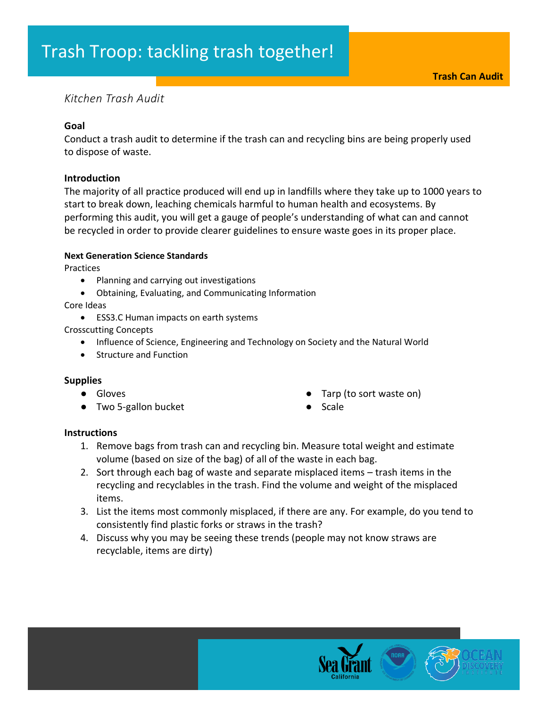# *Kitchen Trash Audit*

## **Goal**

Conduct a trash audit to determine if the trash can and recycling bins are being properly used to dispose of waste.

### **Introduction**

The majority of all practice produced will end up in landfills where they take up to 1000 years to start to break down, leaching chemicals harmful to human health and ecosystems. By performing this audit, you will get a gauge of people's understanding of what can and cannot be recycled in order to provide clearer guidelines to ensure waste goes in its proper place.

## **Next Generation Science Standards**

Practices

- Planning and carrying out investigations
- Obtaining, Evaluating, and Communicating Information

Core Ideas

• ESS3.C Human impacts on earth systems

Crosscutting Concepts

- Influence of Science, Engineering and Technology on Society and the Natural World
- Structure and Function

### **Supplies**

- Gloves
- Two 5-gallon bucket
- Tarp (to sort waste on)
- **Scale**

### **Instructions**

- 1. Remove bags from trash can and recycling bin. Measure total weight and estimate volume (based on size of the bag) of all of the waste in each bag.
- 2. Sort through each bag of waste and separate misplaced items trash items in the recycling and recyclables in the trash. Find the volume and weight of the misplaced items.
- 3. List the items most commonly misplaced, if there are any. For example, do you tend to consistently find plastic forks or straws in the trash?
- 4. Discuss why you may be seeing these trends (people may not know straws are recyclable, items are dirty)